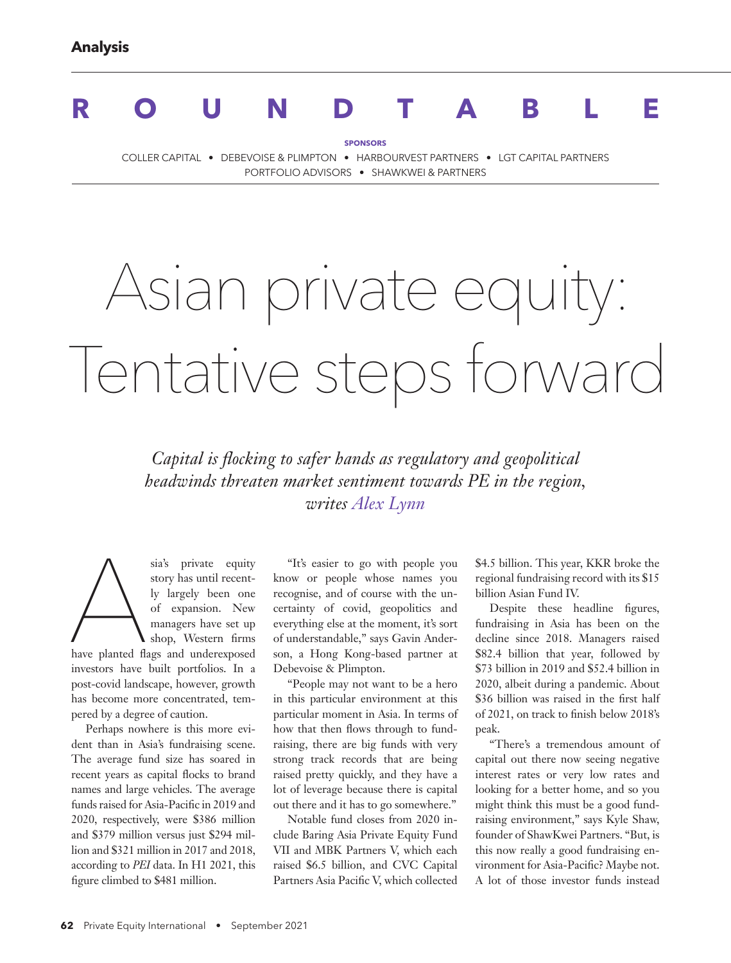## **ROUNDTABLE**

**SPONSORS**

COLLER CAPITAL • DEBEVOISE & PLIMPTON • HARBOURVEST PARTNERS • LGT CAPITAL PARTNERS PORTFOLIO ADVISORS • SHAWKWEI & PARTNERS

# Asian private equity: Tentative steps forward

*Capital is flocking to safer hands as regulatory and geopolitical headwinds threaten market sentiment towards PE in the region, writes Alex Lynn*

sia's private equity<br>story has until recent-<br>ly largely been one<br>of expansion. New<br>managers have set up<br>shop, Western firms<br>have planted flags and underexposed story has until recently largely been one of expansion. New managers have set up shop, Western firms have planted flags and underexposed investors have built portfolios. In a post-covid landscape, however, growth has become more concentrated, tempered by a degree of caution.

Perhaps nowhere is this more evident than in Asia's fundraising scene. The average fund size has soared in recent years as capital flocks to brand names and large vehicles. The average funds raised for Asia-Pacific in 2019 and 2020, respectively, were \$386 million and \$379 million versus just \$294 million and \$321 million in 2017 and 2018, according to *PEI* data. In H1 2021, this figure climbed to \$481 million.

"It's easier to go with people you know or people whose names you recognise, and of course with the uncertainty of covid, geopolitics and everything else at the moment, it's sort of understandable," says Gavin Anderson, a Hong Kong-based partner at Debevoise & Plimpton.

"People may not want to be a hero in this particular environment at this particular moment in Asia. In terms of how that then flows through to fundraising, there are big funds with very strong track records that are being raised pretty quickly, and they have a lot of leverage because there is capital out there and it has to go somewhere."

Notable fund closes from 2020 include Baring Asia Private Equity Fund VII and MBK Partners V, which each raised \$6.5 billion, and CVC Capital Partners Asia Pacific V, which collected \$4.5 billion. This year, KKR broke the regional fundraising record with its \$15 billion Asian Fund IV.

Despite these headline figures, fundraising in Asia has been on the decline since 2018. Managers raised \$82.4 billion that year, followed by \$73 billion in 2019 and \$52.4 billion in 2020, albeit during a pandemic. About \$36 billion was raised in the first half of 2021, on track to finish below 2018's peak.

"There's a tremendous amount of capital out there now seeing negative interest rates or very low rates and looking for a better home, and so you might think this must be a good fundraising environment," says Kyle Shaw, founder of ShawKwei Partners. "But, is this now really a good fundraising environment for Asia-Pacific? Maybe not. A lot of those investor funds instead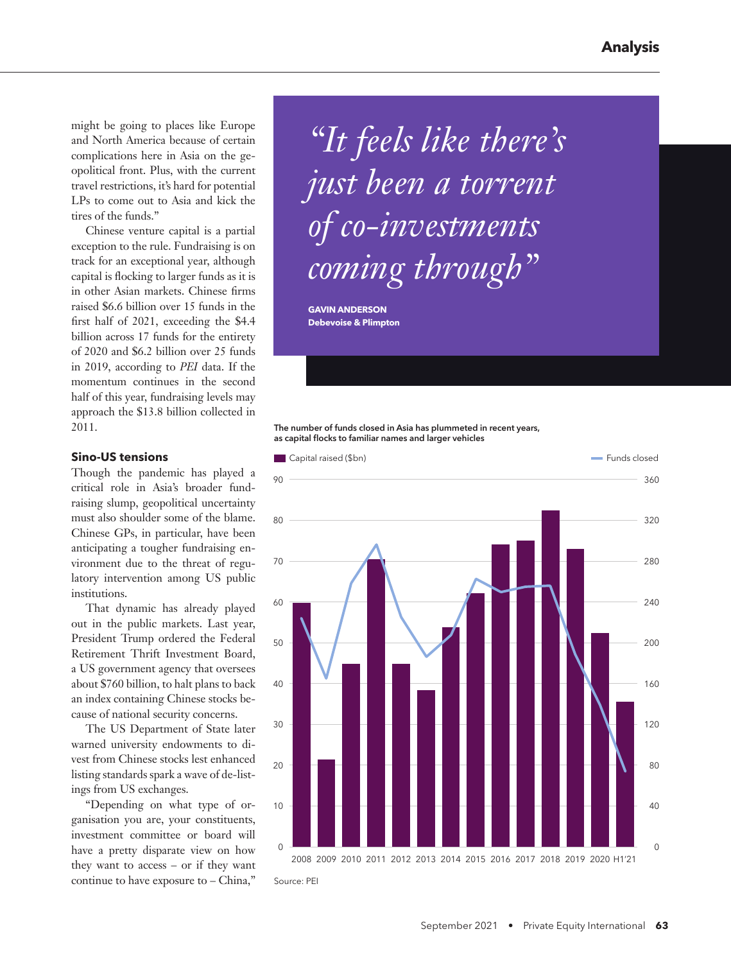might be going to places like Europe and North America because of certain complications here in Asia on the geopolitical front. Plus, with the current travel restrictions, it's hard for potential LPs to come out to Asia and kick the tires of the funds."

Chinese venture capital is a partial exception to the rule. Fundraising is on track for an exceptional year, although capital is flocking to larger funds as it is in other Asian markets. Chinese firms raised \$6.6 billion over 15 funds in the first half of 2021, exceeding the \$4.4 billion across 17 funds for the entirety of 2020 and \$6.2 billion over 25 funds in 2019, according to *PEI* data. If the momentum continues in the second half of this year, fundraising levels may approach the \$13.8 billion collected in 2011.

#### **Sino-US tensions**

Though the pandemic has played a critical role in Asia's broader fundraising slump, geopolitical uncertainty must also shoulder some of the blame. Chinese GPs, in particular, have been anticipating a tougher fundraising environment due to the threat of regulatory intervention among US public institutions.

That dynamic has already played out in the public markets. Last year, President Trump ordered the Federal Retirement Thrift Investment Board, a US government agency that oversees about \$760 billion, to halt plans to back an index containing Chinese stocks because of national security concerns.

The US Department of State later warned university endowments to divest from Chinese stocks lest enhanced listing standards spark a wave of de-listings from US exchanges.

"Depending on what type of organisation you are, your constituents, investment committee or board will have a pretty disparate view on how they want to access – or if they want continue to have exposure to – China,"

*"It feels like there's just been a torrent of co-investments coming through"* 

**GAVIN ANDERSON Debevoise & Plimpton**

The number of funds closed in Asia has plummeted in recent years, as capital flocks to familiar names and larger vehicles

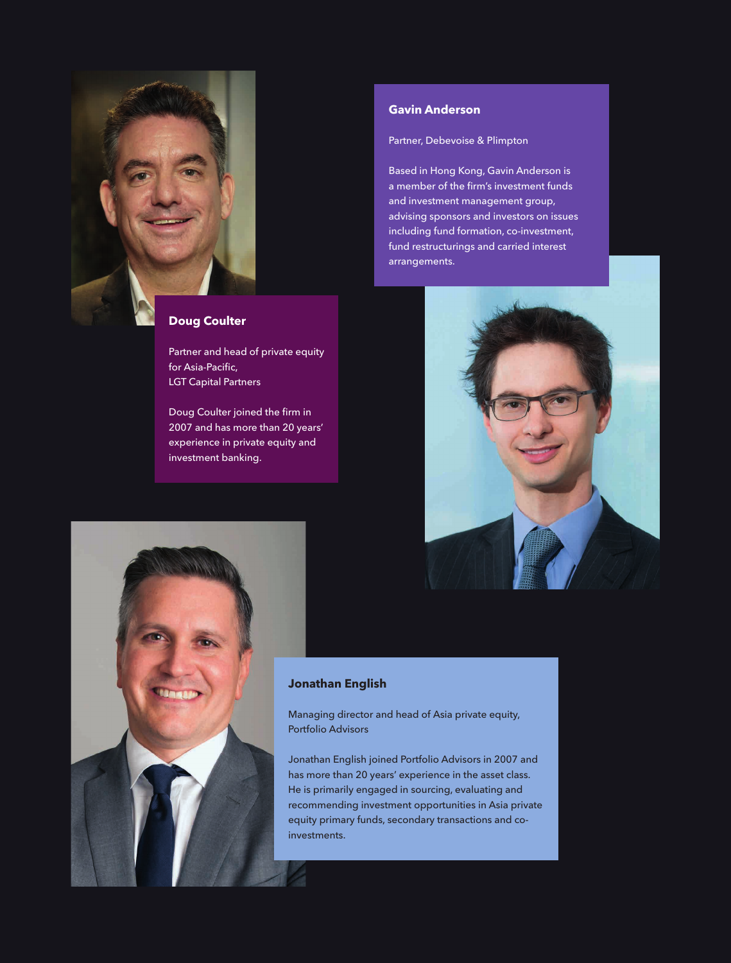

#### **Doug Coulter**

Partner and head of private equity for Asia-Pacific, LGT Capital Partners

Doug Coulter joined the firm in 2007 and has more than 20 years' experience in private equity and investment banking.

#### **Gavin Anderson**

Partner, Debevoise & Plimpton

Based in Hong Kong, Gavin Anderson is a member of the firm's investment funds and investment management group, advising sponsors and investors on issues including fund formation, co-investment, fund restructurings and carried interest arrangements.





#### **Jonathan English**

Managing director and head of Asia private equity, Portfolio Advisors

Jonathan English joined Portfolio Advisors in 2007 and has more than 20 years' experience in the asset class. He is primarily engaged in sourcing, evaluating and recommending investment opportunities in Asia private equity primary funds, secondary transactions and coinvestments.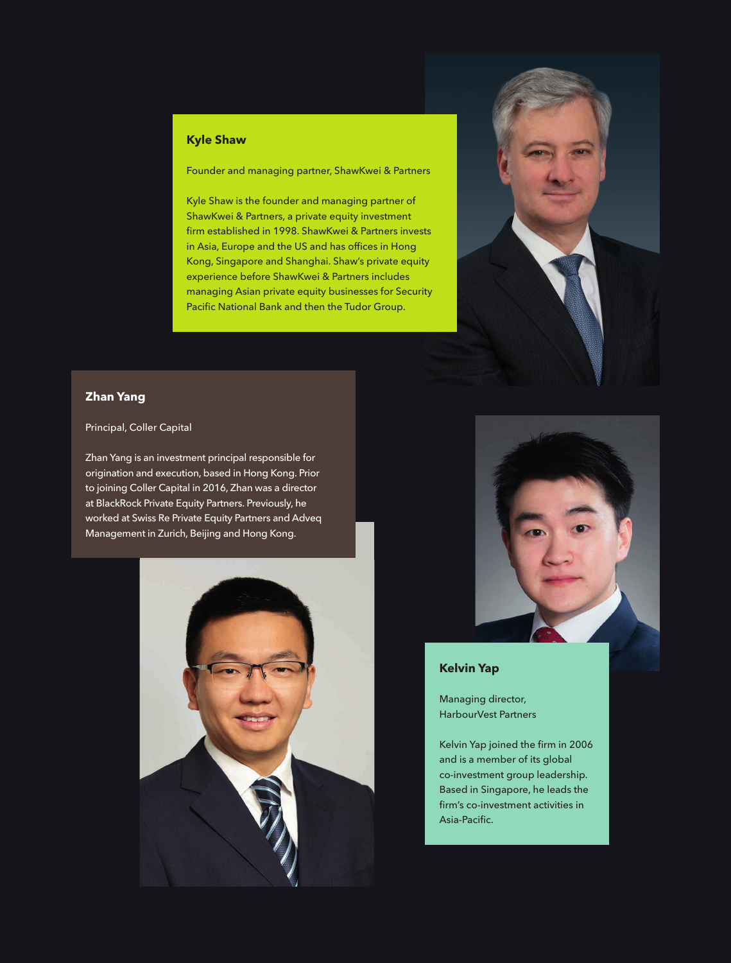#### **Kyle Shaw**

Founder and managing partner, ShawKwei & Partners

Kyle Shaw is the founder and managing partner of ShawKwei & Partners, a private equity investment firm established in 1998. ShawKwei & Partners invests in Asia, Europe and the US and has offices in Hong Kong, Singapore and Shanghai. Shaw's private equity experience before ShawKwei & Partners includes managing Asian private equity businesses for Security Pacific National Bank and then the Tudor Group.



#### **Zhan Yang**

#### Principal, Coller Capital

Zhan Yang is an investment principal responsible for origination and execution, based in Hong Kong. Prior to joining Coller Capital in 2016, Zhan was a director at BlackRock Private Equity Partners. Previously, he worked at Swiss Re Private Equity Partners and Adveq Management in Zurich, Beijing and Hong Kong.





#### **Kelvin Yap**

Managing director, HarbourVest Partners

Kelvin Yap joined the firm in 2006 and is a member of its global co-investment group leadership. Based in Singapore, he leads the firm's co-investment activities in Asia-Pacific.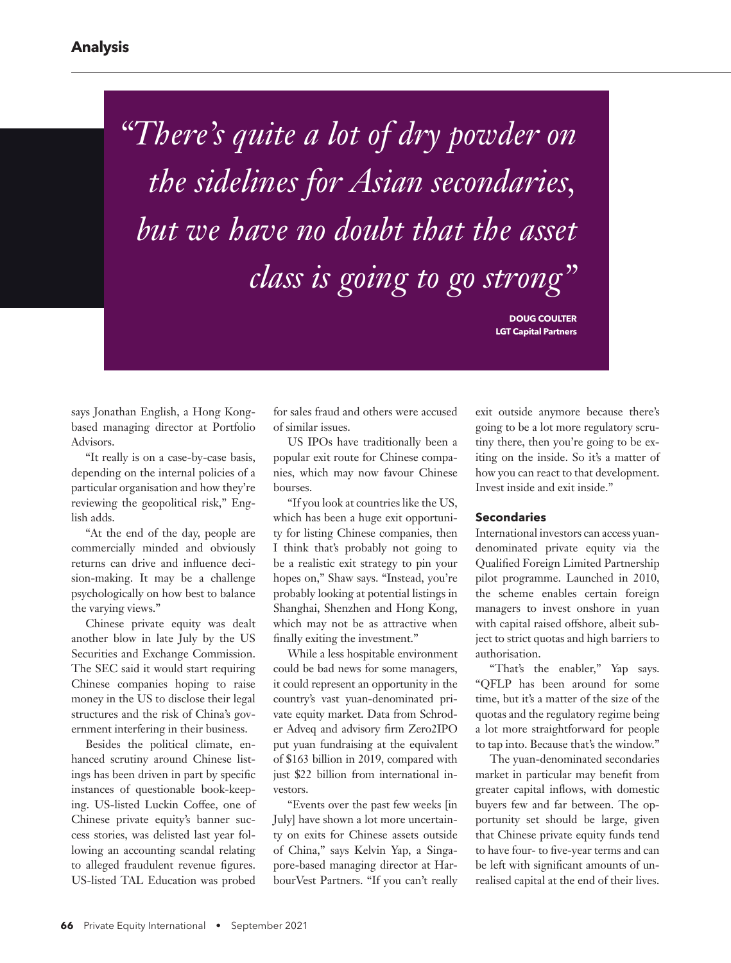*"There's quite a lot of dry powder on the sidelines for Asian secondaries, but we have no doubt that the asset class is going to go strong"* 

> **DOUG COULTER LGT Capital Partners**

says Jonathan English, a Hong Kongbased managing director at Portfolio Advisors.

"It really is on a case-by-case basis, depending on the internal policies of a particular organisation and how they're reviewing the geopolitical risk," English adds.

"At the end of the day, people are commercially minded and obviously returns can drive and influence decision-making. It may be a challenge psychologically on how best to balance the varying views."

Chinese private equity was dealt another blow in late July by the US Securities and Exchange Commission. The SEC said it would start requiring Chinese companies hoping to raise money in the US to disclose their legal structures and the risk of China's government interfering in their business.

Besides the political climate, enhanced scrutiny around Chinese listings has been driven in part by specific instances of questionable book-keeping. US-listed Luckin Coffee, one of Chinese private equity's banner success stories, was delisted last year following an accounting scandal relating to alleged fraudulent revenue figures. US-listed TAL Education was probed

for sales fraud and others were accused of similar issues.

US IPOs have traditionally been a popular exit route for Chinese companies, which may now favour Chinese bourses.

"If you look at countries like the US, which has been a huge exit opportunity for listing Chinese companies, then I think that's probably not going to be a realistic exit strategy to pin your hopes on," Shaw says. "Instead, you're probably looking at potential listings in Shanghai, Shenzhen and Hong Kong, which may not be as attractive when finally exiting the investment."

While a less hospitable environment could be bad news for some managers, it could represent an opportunity in the country's vast yuan-denominated private equity market. Data from Schroder Adveq and advisory firm Zero2IPO put yuan fundraising at the equivalent of \$163 billion in 2019, compared with just \$22 billion from international investors.

"Events over the past few weeks [in July] have shown a lot more uncertainty on exits for Chinese assets outside of China," says Kelvin Yap, a Singapore-based managing director at HarbourVest Partners. "If you can't really exit outside anymore because there's going to be a lot more regulatory scrutiny there, then you're going to be exiting on the inside. So it's a matter of how you can react to that development. Invest inside and exit inside."

#### **Secondaries**

International investors can access yuandenominated private equity via the Qualified Foreign Limited Partnership pilot programme. Launched in 2010, the scheme enables certain foreign managers to invest onshore in yuan with capital raised offshore, albeit subject to strict quotas and high barriers to authorisation.

"That's the enabler," Yap says. "QFLP has been around for some time, but it's a matter of the size of the quotas and the regulatory regime being a lot more straightforward for people to tap into. Because that's the window."

The yuan-denominated secondaries market in particular may benefit from greater capital inflows, with domestic buyers few and far between. The opportunity set should be large, given that Chinese private equity funds tend to have four- to five-year terms and can be left with significant amounts of unrealised capital at the end of their lives.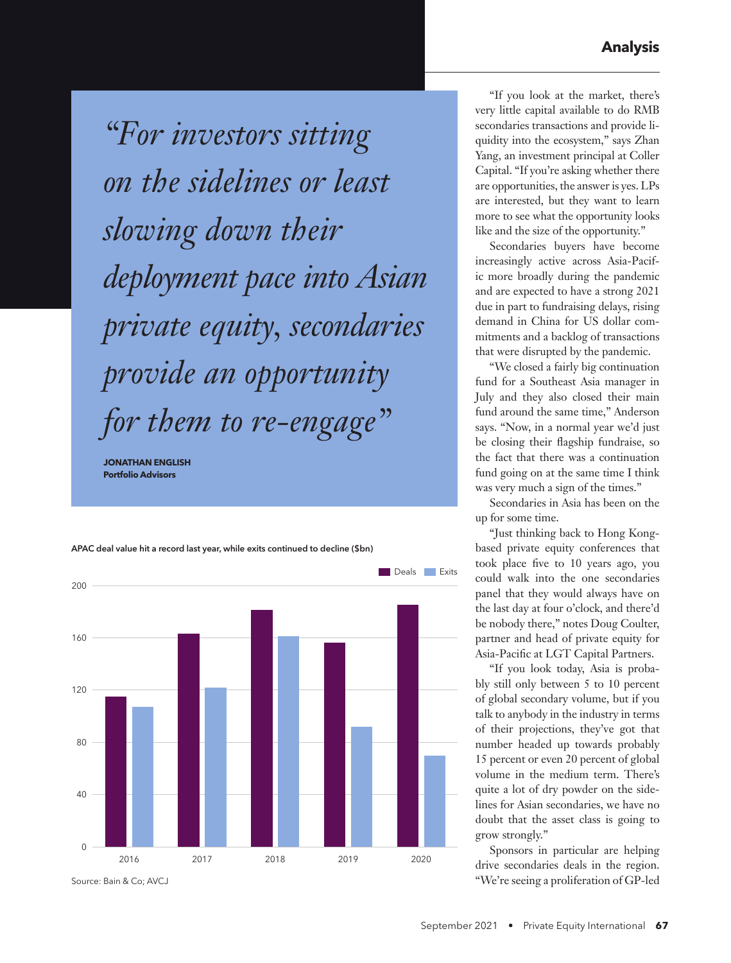*"For investors sitting on the sidelines or least slowing down their deployment pace into Asian private equity, secondaries provide an opportunity for them to re-engage"* 

**JONATHAN ENGLISH Portfolio Advisors**



APAC deal value hit a record last year, while exits continued to decline (\$bn)

Source: Bain & Co; AVCJ

"If you look at the market, there's very little capital available to do RMB secondaries transactions and provide liquidity into the ecosystem," says Zhan Yang, an investment principal at Coller Capital. "If you're asking whether there are opportunities, the answer is yes. LPs are interested, but they want to learn more to see what the opportunity looks like and the size of the opportunity."

Secondaries buyers have become increasingly active across Asia-Pacific more broadly during the pandemic and are expected to have a strong 2021 due in part to fundraising delays, rising demand in China for US dollar commitments and a backlog of transactions that were disrupted by the pandemic.

"We closed a fairly big continuation fund for a Southeast Asia manager in July and they also closed their main fund around the same time," Anderson says. "Now, in a normal year we'd just be closing their flagship fundraise, so the fact that there was a continuation fund going on at the same time I think was very much a sign of the times."

Secondaries in Asia has been on the up for some time.

"Just thinking back to Hong Kongbased private equity conferences that took place five to 10 years ago, you could walk into the one secondaries panel that they would always have on the last day at four o'clock, and there'd be nobody there," notes Doug Coulter, partner and head of private equity for Asia-Pacific at LGT Capital Partners.

"If you look today, Asia is probably still only between 5 to 10 percent of global secondary volume, but if you talk to anybody in the industry in terms of their projections, they've got that number headed up towards probably 15 percent or even 20 percent of global volume in the medium term. There's quite a lot of dry powder on the sidelines for Asian secondaries, we have no doubt that the asset class is going to grow strongly."

Sponsors in particular are helping drive secondaries deals in the region. "We're seeing a proliferation of GP-led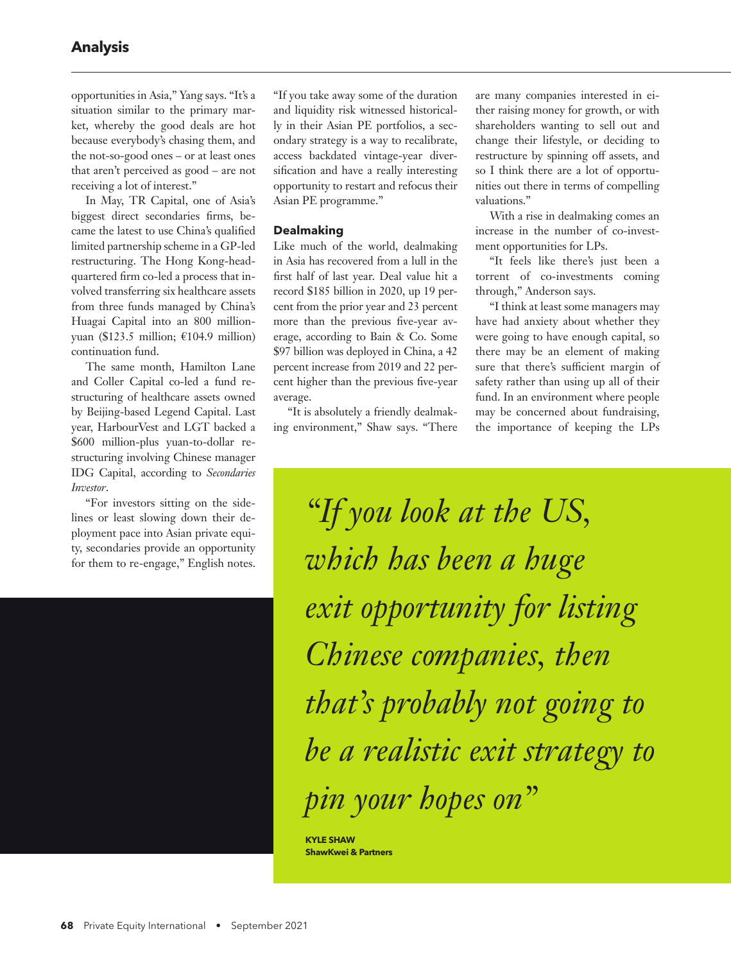opportunities in Asia," Yang says. "It's a situation similar to the primary market, whereby the good deals are hot because everybody's chasing them, and the not-so-good ones – or at least ones that aren't perceived as good – are not receiving a lot of interest."

In May, TR Capital, one of Asia's biggest direct secondaries firms, became the latest to use China's qualified limited partnership scheme in a GP-led restructuring. The Hong Kong-headquartered firm co-led a process that involved transferring six healthcare assets from three funds managed by China's Huagai Capital into an 800 millionyuan (\$123.5 million; €104.9 million) continuation fund.

The same month, Hamilton Lane and Coller Capital co-led a fund restructuring of healthcare assets owned by Beijing-based Legend Capital. Last year, HarbourVest and LGT backed a \$600 million-plus yuan-to-dollar restructuring involving Chinese manager IDG Capital, according to *Secondaries Investor*.

"For investors sitting on the sidelines or least slowing down their deployment pace into Asian private equity, secondaries provide an opportunity for them to re-engage," English notes.

"If you take away some of the duration and liquidity risk witnessed historically in their Asian PE portfolios, a secondary strategy is a way to recalibrate, access backdated vintage-year diversification and have a really interesting opportunity to restart and refocus their Asian PE programme."

#### **Dealmaking**

Like much of the world, dealmaking in Asia has recovered from a lull in the first half of last year. Deal value hit a record \$185 billion in 2020, up 19 percent from the prior year and 23 percent more than the previous five-year average, according to Bain & Co. Some \$97 billion was deployed in China, a 42 percent increase from 2019 and 22 percent higher than the previous five-year average.

"It is absolutely a friendly dealmaking environment," Shaw says. "There are many companies interested in either raising money for growth, or with shareholders wanting to sell out and change their lifestyle, or deciding to restructure by spinning off assets, and so I think there are a lot of opportunities out there in terms of compelling valuations."

With a rise in dealmaking comes an increase in the number of co-investment opportunities for LPs.

"It feels like there's just been a torrent of co-investments coming through," Anderson says.

"I think at least some managers may have had anxiety about whether they were going to have enough capital, so there may be an element of making sure that there's sufficient margin of safety rather than using up all of their fund. In an environment where people may be concerned about fundraising, the importance of keeping the LPs

*"If you look at the US, which has been a huge exit opportunity for listing Chinese companies, then that's probably not going to be a realistic exit strategy to pin your hopes on"*

**KYLE SHAW ShawKwei & Partners**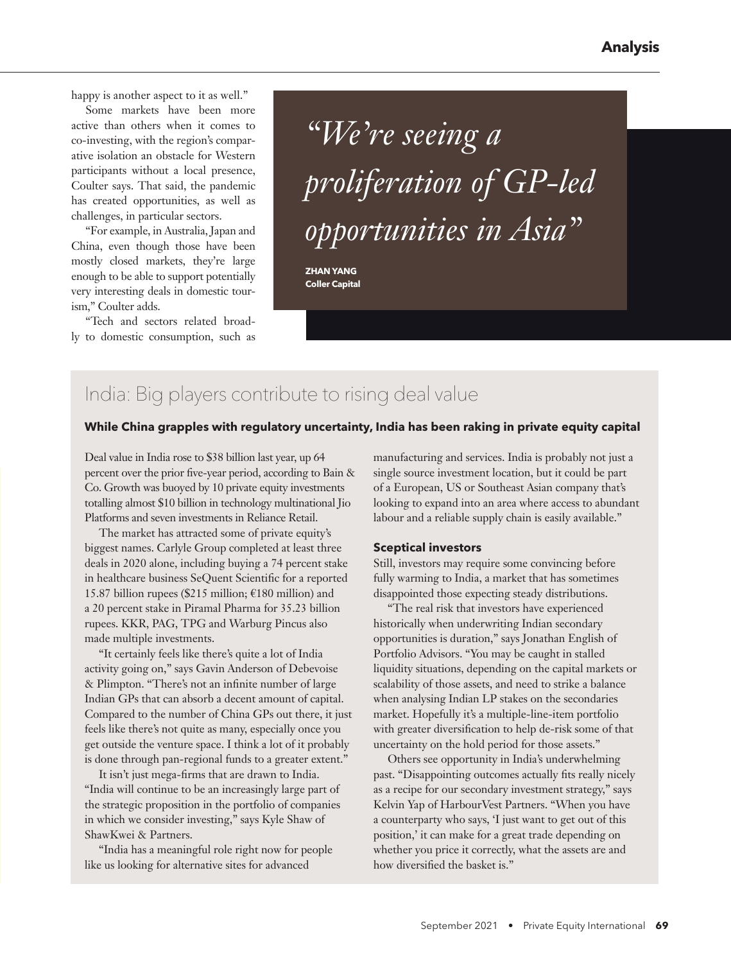happy is another aspect to it as well."

Some markets have been more active than others when it comes to co-investing, with the region's comparative isolation an obstacle for Western participants without a local presence, Coulter says. That said, the pandemic has created opportunities, as well as challenges, in particular sectors.

"For example, in Australia, Japan and China, even though those have been mostly closed markets, they're large enough to be able to support potentially very interesting deals in domestic tourism," Coulter adds.

"Tech and sectors related broadly to domestic consumption, such as

## *"We're seeing a proliferation of GP-led opportunities in Asia"*

**ZHAN YANG Coller Capital**

### India: Big players contribute to rising deal value

#### **While China grapples with regulatory uncertainty, India has been raking in private equity capital**

Deal value in India rose to \$38 billion last year, up 64 percent over the prior five-year period, according to Bain & Co. Growth was buoyed by 10 private equity investments totalling almost \$10 billion in technology multinational Jio Platforms and seven investments in Reliance Retail.

The market has attracted some of private equity's biggest names. Carlyle Group completed at least three deals in 2020 alone, including buying a 74 percent stake in healthcare business SeQuent Scientific for a reported 15.87 billion rupees (\$215 million;  $€180$  million) and a 20 percent stake in Piramal Pharma for 35.23 billion rupees. KKR, PAG, TPG and Warburg Pincus also made multiple investments.

"It certainly feels like there's quite a lot of India activity going on," says Gavin Anderson of Debevoise & Plimpton. "There's not an infinite number of large Indian GPs that can absorb a decent amount of capital. Compared to the number of China GPs out there, it just feels like there's not quite as many, especially once you get outside the venture space. I think a lot of it probably is done through pan-regional funds to a greater extent."

It isn't just mega-firms that are drawn to India. "India will continue to be an increasingly large part of the strategic proposition in the portfolio of companies in which we consider investing," says Kyle Shaw of ShawKwei & Partners.

"India has a meaningful role right now for people like us looking for alternative sites for advanced

manufacturing and services. India is probably not just a single source investment location, but it could be part of a European, US or Southeast Asian company that's looking to expand into an area where access to abundant labour and a reliable supply chain is easily available."

#### **Sceptical investors**

Still, investors may require some convincing before fully warming to India, a market that has sometimes disappointed those expecting steady distributions.

"The real risk that investors have experienced historically when underwriting Indian secondary opportunities is duration," says Jonathan English of Portfolio Advisors. "You may be caught in stalled liquidity situations, depending on the capital markets or scalability of those assets, and need to strike a balance when analysing Indian LP stakes on the secondaries market. Hopefully it's a multiple-line-item portfolio with greater diversification to help de-risk some of that uncertainty on the hold period for those assets."

Others see opportunity in India's underwhelming past. "Disappointing outcomes actually fits really nicely as a recipe for our secondary investment strategy," says Kelvin Yap of HarbourVest Partners. "When you have a counterparty who says, 'I just want to get out of this position,' it can make for a great trade depending on whether you price it correctly, what the assets are and how diversified the basket is."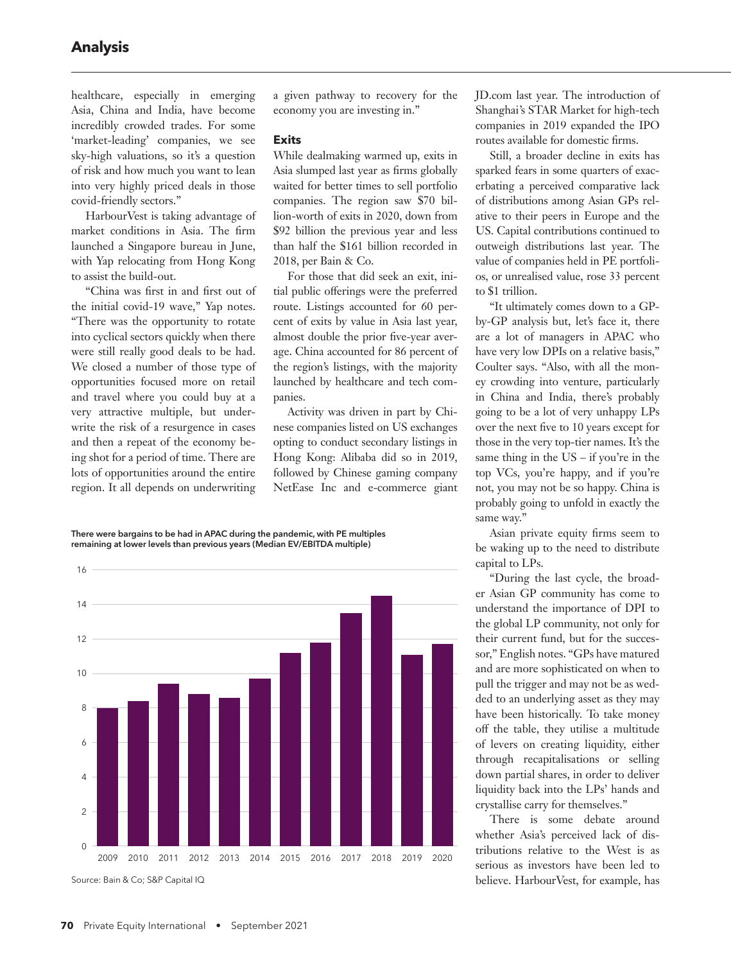healthcare, especially in emerging Asia, China and India, have become incredibly crowded trades. For some 'market-leading' companies, we see sky-high valuations, so it's a question of risk and how much you want to lean into very highly priced deals in those covid-friendly sectors."

HarbourVest is taking advantage of market conditions in Asia. The firm launched a Singapore bureau in June, with Yap relocating from Hong Kong to assist the build-out.

"China was first in and first out of the initial covid-19 wave," Yap notes. "There was the opportunity to rotate into cyclical sectors quickly when there were still really good deals to be had. We closed a number of those type of opportunities focused more on retail and travel where you could buy at a very attractive multiple, but underwrite the risk of a resurgence in cases and then a repeat of the economy being shot for a period of time. There are lots of opportunities around the entire region. It all depends on underwriting

a given pathway to recovery for the economy you are investing in."

#### **Exits**

While dealmaking warmed up, exits in Asia slumped last year as firms globally waited for better times to sell portfolio companies. The region saw \$70 billion-worth of exits in 2020, down from \$92 billion the previous year and less than half the \$161 billion recorded in 2018, per Bain & Co.

For those that did seek an exit, initial public offerings were the preferred route. Listings accounted for 60 percent of exits by value in Asia last year, almost double the prior five-year average. China accounted for 86 percent of the region's listings, with the majority launched by healthcare and tech companies.

Activity was driven in part by Chinese companies listed on US exchanges opting to conduct secondary listings in Hong Kong: Alibaba did so in 2019, followed by Chinese gaming company NetEase Inc and e-commerce giant

There were bargains to be had in APAC during the pandemic, with PE multiples remaining at lower levels than previous years (Median EV/EBITDA multiple)



JD.com last year. The introduction of Shanghai's STAR Market for high-tech companies in 2019 expanded the IPO routes available for domestic firms.

Still, a broader decline in exits has sparked fears in some quarters of exacerbating a perceived comparative lack of distributions among Asian GPs relative to their peers in Europe and the US. Capital contributions continued to outweigh distributions last year. The value of companies held in PE portfolios, or unrealised value, rose 33 percent to \$1 trillion.

"It ultimately comes down to a GPby-GP analysis but, let's face it, there are a lot of managers in APAC who have very low DPIs on a relative basis," Coulter says. "Also, with all the money crowding into venture, particularly in China and India, there's probably going to be a lot of very unhappy LPs over the next five to 10 years except for those in the very top-tier names. It's the same thing in the US – if you're in the top VCs, you're happy, and if you're not, you may not be so happy. China is probably going to unfold in exactly the same way."

Asian private equity firms seem to be waking up to the need to distribute capital to LPs.

"During the last cycle, the broader Asian GP community has come to understand the importance of DPI to the global LP community, not only for their current fund, but for the successor," English notes. "GPs have matured and are more sophisticated on when to pull the trigger and may not be as wedded to an underlying asset as they may have been historically. To take money off the table, they utilise a multitude of levers on creating liquidity, either through recapitalisations or selling down partial shares, in order to deliver liquidity back into the LPs' hands and crystallise carry for themselves."

There is some debate around whether Asia's perceived lack of distributions relative to the West is as serious as investors have been led to believe. HarbourVest, for example, has